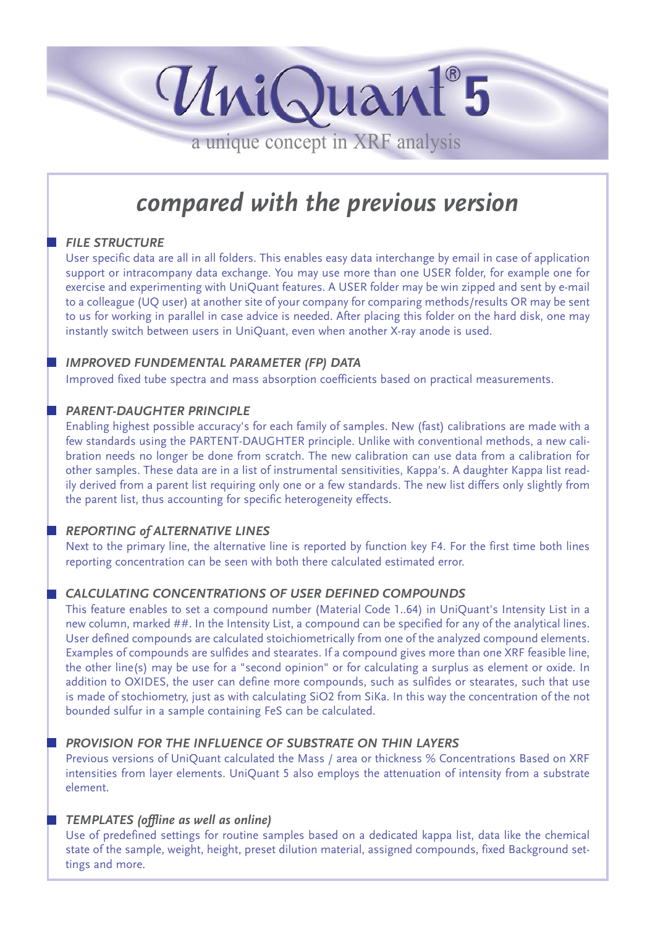a unique concept in XRF analysis

UniQuant<sup>®</sup>5

# *compared with the previous version*

# **FILE STRUCTURE**

User specific data are all in all folders. This enables easy data interchange by email in case of application support or intracompany data exchange. You may use more than one USER folder, for example one for exercise and experimenting with UniQuant features. A USER folder may be win zipped and sent by e-mail to a colleague (UQ user) at another site of your company for comparing methods/results OR may be sent to us for working in parallel in case advice is needed. After placing this folder on the hard disk, one may instantly switch between users in UniQuant, even when another X-ray anode is used.

# *IMPROVED FUNDEMENTAL PARAMETER (FP) DATA*

Improved fixed tube spectra and mass absorption coefficients based on practical measurements.

#### *PARENT-DAUGHTER PRINCIPLE*

Enabling highest possible accuracy's for each family of samples. New (fast) calibrations are made with a few standards using the PARTENT-DAUGHTER principle. Unlike with conventional methods, a new calibration needs no longer be done from scratch. The new calibration can use data from a calibration for other samples. These data are in a list of instrumental sensitivities, Kappa's. A daughter Kappa list readily derived from a parent list requiring only one or a few standards. The new list differs only slightly from the parent list, thus accounting for specific heterogeneity effects.

#### *REPORTING of ALTERNATIVE LINES*

Next to the primary line, the alternative line is reported by function key F4. For the first time both lines reporting concentration can be seen with both there calculated estimated error.

# *CALCULATING CONCENTRATIONS OF USER DEFINED COMPOUNDS*

This feature enables to set a compound number (Material Code 1..64) in UniQuant's Intensity List in a new column, marked ##. In the Intensity List, a compound can be specified for any of the analytical lines. User defined compounds are calculated stoichiometrically from one of the analyzed compound elements. Examples of compounds are sulfides and stearates. If a compound gives more than one XRF feasible line, the other line(s) may be use for a "second opinion" or for calculating a surplus as element or oxide. In addition to OXIDES, the user can define more compounds, such as sulfides or stearates, such that use is made of stochiometry, just as with calculating SiO2 from SiKa. In this way the concentration of the not bounded sulfur in a sample containing FeS can be calculated.

# *PROVISION FOR THE INFLUENCE OF SUBSTRATE ON THIN LAYERS*

Previous versions of UniQuant calculated the Mass / area or thickness % Concentrations Based on XRF intensities from layer elements. UniQuant 5 also employs the attenuation of intensity from a substrate element.

# *TEMPLATES (offline as well as online)*

Use of predefined settings for routine samples based on a dedicated kappa list, data like the chemical state of the sample, weight, height, preset dilution material, assigned compounds, fixed Background settings and more.